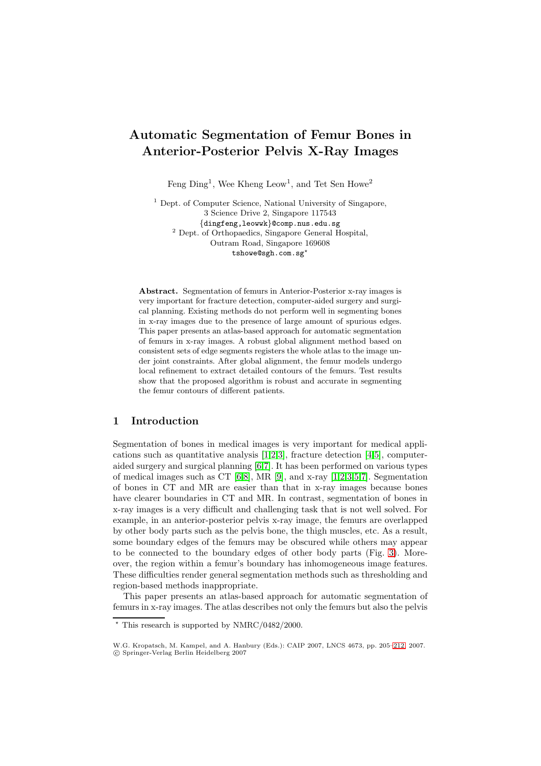# **Automatic Segmentation of Femur Bones in Anterior-Posterior Pelvis X-Ray Images**

Feng  $Ding<sup>1</sup>$ , Wee Kheng Leow<sup>1</sup>, and Tet Sen Howe<sup>2</sup>

<sup>1</sup> Dept. of Computer Science, National University of Singapore, 3 Science Drive 2, Singapore 117543 {dingfeng,leowwk}@comp.nus.edu.sg <sup>2</sup> Dept. of Orthopaedics, Singapore General Hospital, Outram Road, Singapore 169608  $\texttt{tshowe@sgh.com.sg}^{\star}$ 

**Abstract.** Segmentation of femurs in Anterior-Posterior x-ray images is very important for fracture detection, computer-aided surgery and surgical planning. Existing methods do not perform well in segmenting bones in x-ray images due to the presence of large amount of spurious edges. This paper presents an atlas-based approach for automatic segmentation of femurs in x-ray images. A robust global alignment method based on consistent sets of edge segments registers the whole atlas to the image under joint constraints. After global alignment, the femur models undergo local refinement to extract detailed contours of the femurs. Test results show that the proposed algorithm is robust and accurate in segmenting the femur contours of different patients.

## **1 Introduction**

Segmentation of bones in medical images is very important for medical applications such as quantitative analysis [\[1](#page-7-0)[,2](#page-7-1)[,3\]](#page-7-2), fracture detection [\[4,](#page-7-3)[5\]](#page-7-4), computeraided surgery and surgical planning [\[6,](#page-7-5)[7\]](#page-7-6). It has been performed on various types of medical images such as CT  $[6,8]$  $[6,8]$ , MR  $[9]$ , and x-ray  $[1,2,3,5,7]$  $[1,2,3,5,7]$  $[1,2,3,5,7]$  $[1,2,3,5,7]$  $[1,2,3,5,7]$ . Segmentation of bones in CT and MR are easier than that in x-ray images because bones have clearer boundaries in CT and MR. In contrast, segmentation of bones in x-ray images is a very difficult and challenging task that is not well solved. For example, in an anterior-posterior pelvis x-ray image, the femurs are overlapped by other body parts such as the pelvis bone, the thigh muscles, etc. As a result, some boundary edges of the femurs may be obscured while others may appear to be connected to the boundary edges of other body parts (Fig. [3\)](#page-6-0). Moreover, the region within a femur's boundary has inhomogeneous image features. These difficulties render general segmentation methods such as thresholding and region-based methods inappropriate.

This paper presents an atlas-based approach for automatic segmentation of femurs in x-ray images. The atlas describes not only the femurs but also the pelvis

<sup>-</sup> This research is supported by NMRC/0482/2000.

W.G. Kropatsch, M. Kampel, and A. Hanbury (Eds.): CAIP 2007, LNCS 4673, pp. 205[–212,](#page-7-9) 2007. -c Springer-Verlag Berlin Heidelberg 2007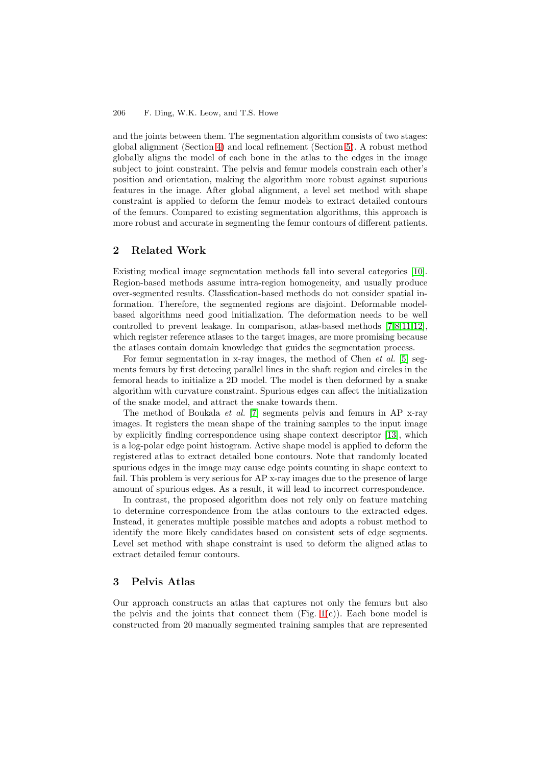#### 206 F. Ding, W.K. Leow, and T.S. Howe

and the joints between them. The segmentation algorithm consists of two stages: global alignment (Section [4\)](#page-2-0) and local refinement (Section [5\)](#page-5-0). A robust method globally aligns the model of each bone in the atlas to the edges in the image subject to joint constraint. The pelvis and femur models constrain each other's position and orientation, making the algorithm more robust against supurious features in the image. After global alignment, a level set method with shape constraint is applied to deform the femur models to extract detailed contours of the femurs. Compared to existing segmentation algorithms, this approach is more robust and accurate in segmenting the femur contours of different patients.

## **2 Related Work**

Existing medical image segmentation methods fall into several categories [\[10\]](#page-7-10). Region-based methods assume intra-region homogeneity, and usually produce over-segmented results. Classfication-based methods do not consider spatial information. Therefore, the segmented regions are disjoint. Deformable modelbased algorithms need good initialization. The deformation needs to be well controlled to prevent leakage. In comparison, atlas-based methods [\[7](#page-7-6)[,8](#page-7-7)[,11,](#page-7-11)[12\]](#page-7-12), which register reference atlases to the target images, are more promising because the atlases contain domain knowledge that guides the segmentation process.

For femur segmentation in x-ray images, the method of Chen *et al.* [\[5\]](#page-7-4) segments femurs by first detecing parallel lines in the shaft region and circles in the femoral heads to initialize a 2D model. The model is then deformed by a snake algorithm with curvature constraint. Spurious edges can affect the initialization of the snake model, and attract the snake towards them.

The method of Boukala et al. [\[7\]](#page-7-6) segments pelvis and femurs in AP x-ray images. It registers the mean shape of the training samples to the input image by explicitly finding correspondence using shape context descriptor [\[13\]](#page-7-13), which is a log-polar edge point histogram. Active shape model is applied to deform the registered atlas to extract detailed bone contours. Note that randomly located spurious edges in the image may cause edge points counting in shape context to fail. This problem is very serious for AP x-ray images due to the presence of large amount of spurious edges. As a result, it will lead to incorrect correspondence.

In contrast, the proposed algorithm does not rely only on feature matching to determine correspondence from the atlas contours to the extracted edges. Instead, it generates multiple possible matches and adopts a robust method to identify the more likely candidates based on consistent sets of edge segments. Level set method with shape constraint is used to deform the aligned atlas to extract detailed femur contours.

# **3 Pelvis Atlas**

Our approach constructs an atlas that captures not only the femurs but also the pelvis and the joints that connect them  $(Fig. 1(c))$  $(Fig. 1(c))$  $(Fig. 1(c))$ . Each bone model is constructed from 20 manually segmented training samples that are represented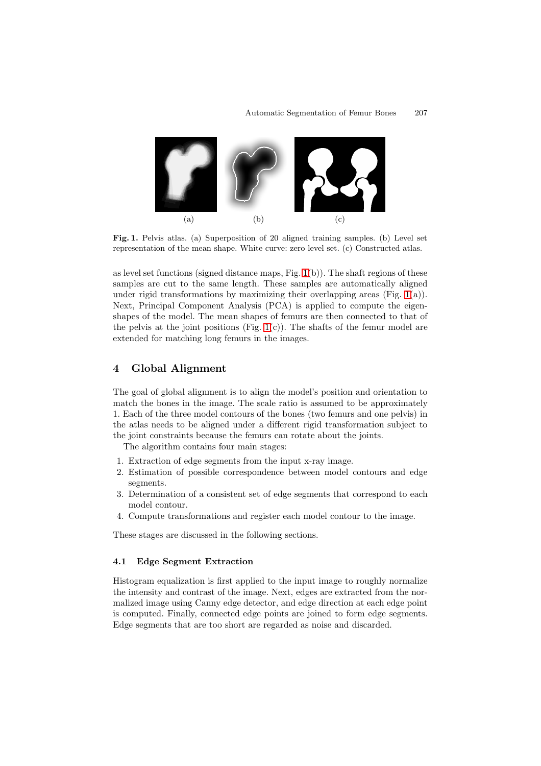

<span id="page-2-1"></span>Fig. 1. Pelvis atlas. (a) Superposition of 20 aligned training samples. (b) Level set representation of the mean shape. White curve: zero level set. (c) Constructed atlas.

as level set functions (signed distance maps, Fig. [1\(](#page-2-1)b)). The shaft regions of these samples are cut to the same length. These samples are automatically aligned under rigid transformations by maximizing their overlapping areas (Fig. [1\(](#page-2-1)a)). Next, Principal Component Analysis (PCA) is applied to compute the eigenshapes of the model. The mean shapes of femurs are then connected to that of the pelvis at the joint positions (Fig.  $1(c)$ ). The shafts of the femur model are extended for matching long femurs in the images.

## <span id="page-2-0"></span>**4 Global Alignment**

The goal of global alignment is to align the model's position and orientation to match the bones in the image. The scale ratio is assumed to be approximately 1. Each of the three model contours of the bones (two femurs and one pelvis) in the atlas needs to be aligned under a different rigid transformation subject to the joint constraints because the femurs can rotate about the joints.

The algorithm contains four main stages:

- 1. Extraction of edge segments from the input x-ray image.
- 2. Estimation of possible correspondence between model contours and edge segments.
- 3. Determination of a consistent set of edge segments that correspond to each model contour.
- 4. Compute transformations and register each model contour to the image.

These stages are discussed in the following sections.

#### **4.1 Edge Segment Extraction**

Histogram equalization is first applied to the input image to roughly normalize the intensity and contrast of the image. Next, edges are extracted from the normalized image using Canny edge detector, and edge direction at each edge point is computed. Finally, connected edge points are joined to form edge segments. Edge segments that are too short are regarded as noise and discarded.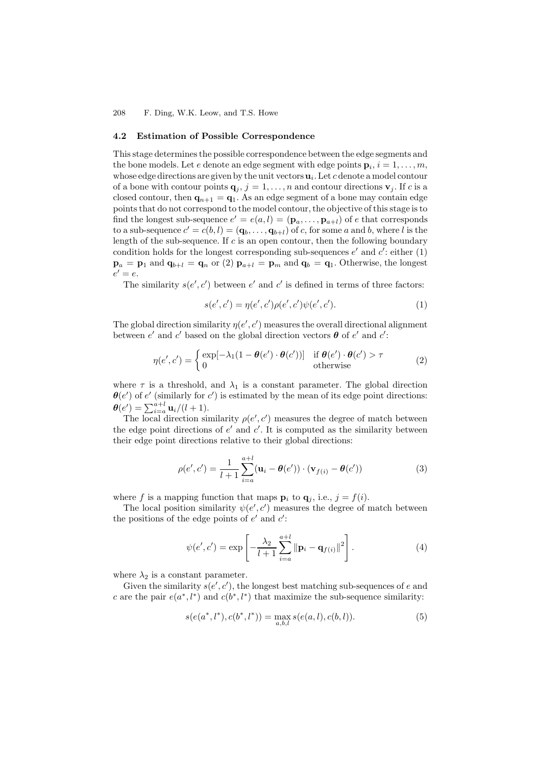208 F. Ding, W.K. Leow, and T.S. Howe

#### **4.2 Estimation of Possible Correspondence**

This stage determines the possible correspondence between the edge segments and the bone models. Let e denote an edge segment with edge points  $\mathbf{p}_i$ ,  $i = 1, \ldots, m$ , whose edge directions are given by the unit vectors  $\mathbf{u}_i$ . Let c denote a model contour of a bone with contour points  $\mathbf{q}_i$ ,  $j = 1, \ldots, n$  and contour directions  $\mathbf{v}_j$ . If c is a closed contour, then  $\mathbf{q}_{n+1} = \mathbf{q}_1$ . As an edge segment of a bone may contain edge points that do not correspond to the model contour, the objective of this stage is to find the longest sub-sequence  $e' = e(a, l) = (\mathbf{p}_a, \dots, \mathbf{p}_{a+l})$  of e that corresponds to a sub-sequence  $c' = c(b, l) = (\mathbf{q}_b, \ldots, \mathbf{q}_{b+l})$  of c, for some a and b, where l is the length of the sub-sequence. If  $c$  is an open contour, then the following boundary condition holds for the longest corresponding sub-sequences  $e'$  and  $c'$ : either (1)  $\mathbf{p}_a = \mathbf{p}_1$  and  $\mathbf{q}_{b+l} = \mathbf{q}_n$  or (2)  $\mathbf{p}_{a+l} = \mathbf{p}_m$  and  $\mathbf{q}_b = \mathbf{q}_1$ . Otherwise, the longest  $e' = e$ .

The similarity  $s(e', c')$  between  $e'$  and  $c'$  is defined in terms of three factors:

$$
s(e',c') = \eta(e',c')\rho(e',c')\psi(e',c').
$$
 (1)

The global direction similarity  $\eta(e', c')$  measures the overall directional alignment between  $e'$  and  $c'$  based on the global direction vectors  $\boldsymbol{\theta}$  of  $e'$  and  $c'$ :

$$
\eta(e',c') = \begin{cases} \exp[-\lambda_1(1-\theta(e')\cdot\theta(c'))] & \text{if } \theta(e')\cdot\theta(c') > \tau \\ 0 & \text{otherwise} \end{cases}
$$
 (2)

where  $\tau$  is a threshold, and  $\lambda_1$  is a constant parameter. The global direction  $\theta$ (*e'*) of *e'* (similarly for *c'*) is estimated by the mean of its edge point directions:  $\theta(e') = \sum_{i=a}^{a+l} \mathbf{u}_i/(l+1).$ 

The local direction similarity  $\rho(e', c')$  measures the degree of match between the edge point directions of  $e'$  and  $c'$ . It is computed as the similarity between their edge point directions relative to their global directions:

$$
\rho(e', c') = \frac{1}{l+1} \sum_{i=a}^{a+l} (\mathbf{u}_i - \theta(e')) \cdot (\mathbf{v}_{f(i)} - \theta(c')) \tag{3}
$$

where f is a mapping function that maps  $\mathbf{p}_i$  to  $\mathbf{q}_j$ , i.e.,  $j = f(i)$ .

The local position similarity  $\psi(e', c')$  measures the degree of match between the positions of the edge points of  $e'$  and  $c'$ :

$$
\psi(e', c') = \exp\left[-\frac{\lambda_2}{l+1} \sum_{i=a}^{a+l} \|\mathbf{p}_i - \mathbf{q}_{f(i)}\|^2\right].
$$
 (4)

where  $\lambda_2$  is a constant parameter.

Given the similarity  $s(e', c')$ , the longest best matching sub-sequences of e and c are the pair  $e(a^*, l^*)$  and  $c(b^*, l^*)$  that maximize the sub-sequence similarity:

$$
s(e(a^*,l^*),c(b^*,l^*)) = \max_{a,b,l} s(e(a,l),c(b,l)).
$$
\n(5)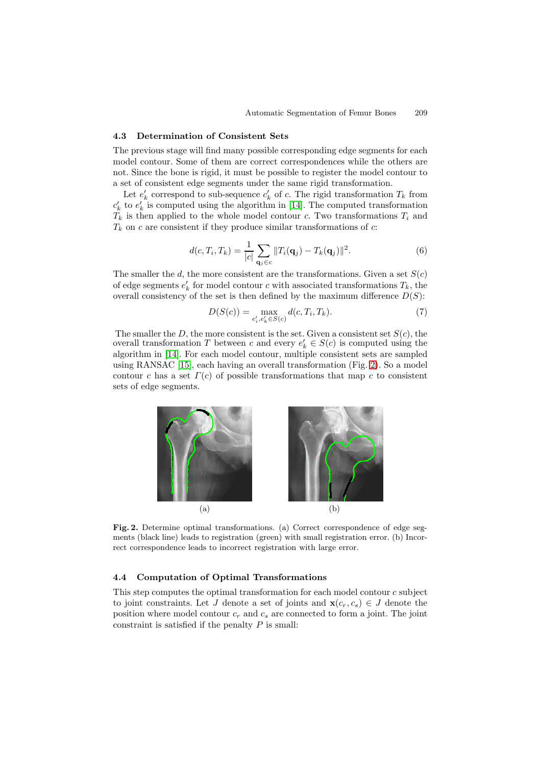## **4.3 Determination of Consistent Sets**

The previous stage will find many possible corresponding edge segments for each model contour. Some of them are correct correspondences while the others are not. Since the bone is rigid, it must be possible to register the model contour to a set of consistent edge segments under the same rigid transformation.

Let  $e'_{k}$  correspond to sub-sequence  $c'_{k}$  of c. The rigid transformation  $T_{k}$  from  $c'_{k}$  to  $e'_{k}$  is computed using the algorithm in [\[14\]](#page-7-14). The computed transformation  $T_k$  is then applied to the whole model contour c. Two transformations  $T_i$  and  $T_k$  on c are consistent if they produce similar transformations of c:

$$
d(c,T_i,T_k) = \frac{1}{|c|} \sum_{\mathbf{q}_j \in c} ||T_i(\mathbf{q}_j) - T_k(\mathbf{q}_j)||^2.
$$
 (6)

The smaller the d, the more consistent are the transformations. Given a set  $S(c)$ of edge segments  $e'_{k}$  for model contour c with associated transformations  $T_{k}$ , the overall consistency of the set is then defined by the maximum difference  $D(S)$ :

$$
D(S(c)) = \max_{e'_i, e'_k \in S(c)} d(c, T_i, T_k).
$$
 (7)

The smaller the D, the more consistent is the set. Given a consistent set  $S(c)$ , the overall transformation T between c and every  $e'_{k} \in S(c)$  is computed using the algorithm in [\[14\]](#page-7-14). For each model contour, multiple consistent sets are sampled using RANSAC [\[15\]](#page-7-15), each having an overall transformation (Fig. [2\)](#page-4-0). So a model contour c has a set  $\Gamma(c)$  of possible transformations that map c to consistent sets of edge segments.



<span id="page-4-0"></span>**Fig. 2.** Determine optimal transformations. (a) Correct correspondence of edge segments (black line) leads to registration (green) with small registration error. (b) Incorrect correspondence leads to incorrect registration with large error.

#### **4.4 Computation of Optimal Transformations**

This step computes the optimal transformation for each model contour c subject to joint constraints. Let J denote a set of joints and  $\mathbf{x}(c_r, c_s) \in J$  denote the position where model contour  $c_r$  and  $c_s$  are connected to form a joint. The joint constraint is satisfied if the penalty  $P$  is small: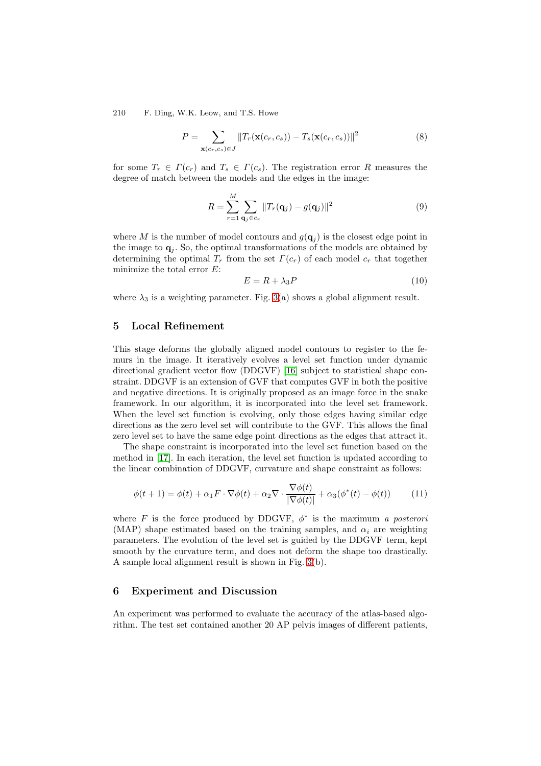210 F. Ding, W.K. Leow, and T.S. Howe

$$
P = \sum_{\mathbf{x}(c_r, c_s) \in J} ||T_r(\mathbf{x}(c_r, c_s)) - T_s(\mathbf{x}(c_r, c_s))||^2
$$
\n(8)

for some  $T_r \in \Gamma(c_r)$  and  $T_s \in \Gamma(c_s)$ . The registration error R measures the degree of match between the models and the edges in the image:

$$
R = \sum_{r=1}^{M} \sum_{\mathbf{q}_j \in c_r} ||T_r(\mathbf{q}_j) - g(\mathbf{q}_j)||^2
$$
\n(9)

where M is the number of model contours and  $g(\mathbf{q}_i)$  is the closest edge point in the image to  $q_i$ . So, the optimal transformations of the models are obtained by determining the optimal  $T_r$  from the set  $\Gamma(c_r)$  of each model  $c_r$  that together minimize the total error  $E$ :

$$
E = R + \lambda_3 P \tag{10}
$$

where  $\lambda_3$  is a weighting parameter. Fig. [3\(](#page-6-0)a) shows a global alignment result.

## <span id="page-5-0"></span>**5 Local Refinement**

This stage deforms the globally aligned model contours to register to the femurs in the image. It iteratively evolves a level set function under dynamic directional gradient vector flow (DDGVF) [\[16\]](#page-7-16) subject to statistical shape constraint. DDGVF is an extension of GVF that computes GVF in both the positive and negative directions. It is originally proposed as an image force in the snake framework. In our algorithm, it is incorporated into the level set framework. When the level set function is evolving, only those edges having similar edge directions as the zero level set will contribute to the GVF. This allows the final zero level set to have the same edge point directions as the edges that attract it.

The shape constraint is incorporated into the level set function based on the method in [\[17\]](#page-7-17). In each iteration, the level set function is updated according to the linear combination of DDGVF, curvature and shape constraint as follows:

$$
\phi(t+1) = \phi(t) + \alpha_1 F \cdot \nabla \phi(t) + \alpha_2 \nabla \cdot \frac{\nabla \phi(t)}{|\nabla \phi(t)|} + \alpha_3 (\phi^*(t) - \phi(t)) \tag{11}
$$

where F is the force produced by DDGVF,  $\phi^*$  is the maximum a posterori (MAP) shape estimated based on the training samples, and  $\alpha_i$  are weighting parameters. The evolution of the level set is guided by the DDGVF term, kept smooth by the curvature term, and does not deform the shape too drastically. A sample local alignment result is shown in Fig. [3\(](#page-6-0)b).

### **6 Experiment and Discussion**

An experiment was performed to evaluate the accuracy of the atlas-based algorithm. The test set contained another 20 AP pelvis images of different patients,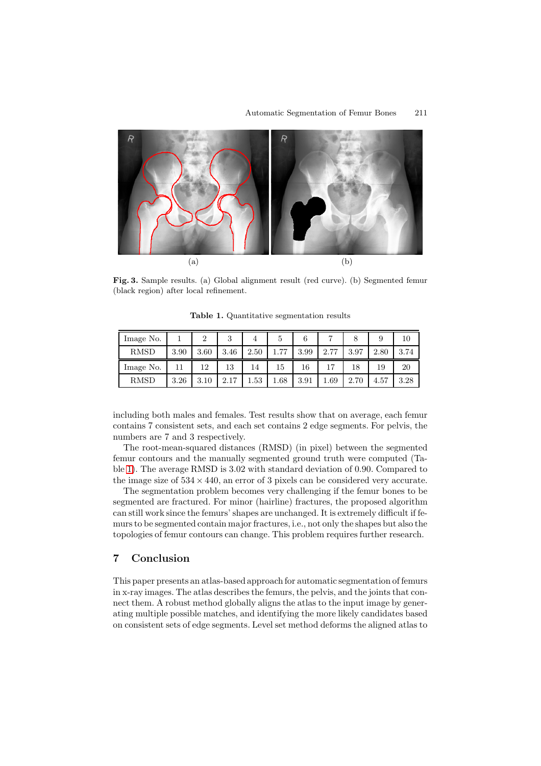

<span id="page-6-0"></span>**Fig. 3.** Sample results. (a) Global alignment result (red curve). (b) Segmented femur (black region) after local refinement.

| Image No.   |      | $\overline{2}$ | 3    |      | 5    | 6    | ⇁    |      |      | 10   |
|-------------|------|----------------|------|------|------|------|------|------|------|------|
| <b>RMSD</b> | 3.90 | 3.60           | 3.46 | 2.50 | 77   | 3.99 | 2.77 | 3.97 | 2.80 | 3.74 |
| Image No.   | 11   | 12             | 13   | 14   | 15   | 16   |      | 18   | 19   | 20   |
| <b>RMSD</b> | 3.26 | 3.10           | 2.17 | .53  | 1.68 | 3.91 | 1.69 | 2.70 | 4.57 | 3.28 |

<span id="page-6-1"></span>**Table 1.** Quantitative segmentation results

including both males and females. Test results show that on average, each femur contains 7 consistent sets, and each set contains 2 edge segments. For pelvis, the numbers are 7 and 3 respectively.

The root-mean-squared distances (RMSD) (in pixel) between the segmented femur contours and the manually segmented ground truth were computed (Table [1\)](#page-6-1). The average RMSD is 3.02 with standard deviation of 0.90. Compared to the image size of  $534 \times 440$ , an error of 3 pixels can be considered very accurate.

The segmentation problem becomes very challenging if the femur bones to be segmented are fractured. For minor (hairline) fractures, the proposed algorithm can still work since the femurs' shapes are unchanged. It is extremely difficult if femurs to be segmented contain major fractures, i.e., not only the shapes but also the topologies of femur contours can change. This problem requires further research.

# **7 Conclusion**

This paper presents an atlas-based approach for automatic segmentation of femurs in x-ray images. The atlas describes the femurs, the pelvis, and the joints that connect them. A robust method globally aligns the atlas to the input image by generating multiple possible matches, and identifying the more likely candidates based on consistent sets of edge segments. Level set method deforms the aligned atlas to